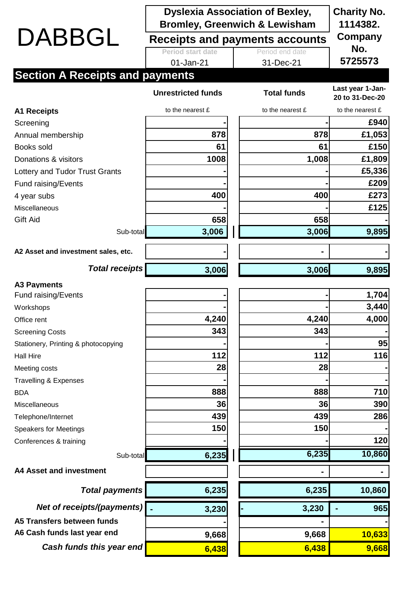|                                        | <b>Dyslexia Association of Bexley,</b><br><b>Bromley, Greenwich &amp; Lewisham</b> |  |                    | <b>Charity No.</b><br>1114382.      |
|----------------------------------------|------------------------------------------------------------------------------------|--|--------------------|-------------------------------------|
| DABBGL                                 | Receipts and payments accounts                                                     |  |                    | Company                             |
|                                        | <b>Period start date</b>                                                           |  | Period end date    | No.                                 |
|                                        | 01-Jan-21                                                                          |  | 31-Dec-21          | 5725573                             |
| <b>Section A Receipts and payments</b> |                                                                                    |  |                    |                                     |
|                                        | <b>Unrestricted funds</b>                                                          |  | <b>Total funds</b> | Last year 1-Jan-<br>20 to 31-Dec-20 |
| <b>A1 Receipts</b>                     | to the nearest £                                                                   |  | to the nearest £   | to the nearest £                    |
| Screening                              |                                                                                    |  |                    | £940                                |
| Annual membership                      | 878                                                                                |  | 878                | £1,053                              |
| Books sold                             | 61                                                                                 |  | 61                 | £150                                |
| Donations & visitors                   | 1008                                                                               |  | 1,008              | £1,809                              |
| Lottery and Tudor Trust Grants         |                                                                                    |  |                    | £5,336                              |
| Fund raising/Events                    |                                                                                    |  |                    | £209                                |
| 4 year subs                            | 400                                                                                |  | 400                | £273                                |
| <b>Miscellaneous</b>                   |                                                                                    |  |                    | £125                                |
| Gift Aid                               | 658                                                                                |  | 658                |                                     |
| Sub-total                              | 3,006                                                                              |  | 3,006              | 9,895                               |
| A2 Asset and investment sales, etc.    |                                                                                    |  |                    |                                     |
| <b>Total receipts</b>                  | 3,006                                                                              |  | 3,006              | 9,895                               |
| <b>A3 Payments</b>                     |                                                                                    |  |                    |                                     |
| Fund raising/Events                    |                                                                                    |  |                    | 1,704                               |
| Workshops                              |                                                                                    |  |                    | 3,440                               |
| Office rent                            | 4,240                                                                              |  | 4,240              | 4,000                               |
| <b>Screening Costs</b>                 | 343                                                                                |  | 343                |                                     |
| Stationery, Printing & photocopying    |                                                                                    |  |                    | 95                                  |
| <b>Hall Hire</b>                       | 112                                                                                |  | 112                | 116                                 |
| Meeting costs                          | 28                                                                                 |  | 28                 |                                     |
| <b>Travelling &amp; Expenses</b>       |                                                                                    |  |                    |                                     |
| <b>BDA</b>                             | 888                                                                                |  | 888                | 710                                 |
| Miscellaneous                          | 36                                                                                 |  | 36                 | 390                                 |
| Telephone/Internet                     | 439                                                                                |  | 439                | 286                                 |
| <b>Speakers for Meetings</b>           | 150                                                                                |  | 150                |                                     |
| Conferences & training                 |                                                                                    |  |                    | 120                                 |
| Sub-total                              | 6,235                                                                              |  | 6,235              | 10,860                              |
| <b>A4 Asset and investment</b>         |                                                                                    |  |                    |                                     |
| <b>Total payments</b>                  | 6,235                                                                              |  | 6,235              | 10,860                              |
| Net of receipts/(payments)             | 3,230                                                                              |  | 3,230              | 965                                 |
| A5 Transfers between funds             |                                                                                    |  |                    |                                     |
| A6 Cash funds last year end            | 9,668                                                                              |  | 9,668              | 10,633                              |
| Cash funds this year end               | 6,438                                                                              |  | 6,438              | 9,668                               |
|                                        |                                                                                    |  |                    |                                     |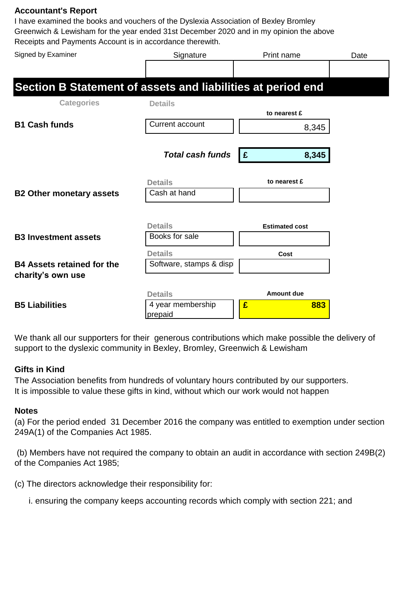## **Accountant's Report**

I have examined the books and vouchers of the Dyslexia Association of Bexley Bromley Greenwich & Lewisham for the year ended 31st December 2020 and in my opinion the above Receipts and Payments Account is in accordance therewith.

| Signed by Examiner                                          | Signature                | Print name            | Date |
|-------------------------------------------------------------|--------------------------|-----------------------|------|
|                                                             |                          |                       |      |
| Section B Statement of assets and liabilities at period end |                          |                       |      |
| <b>Categories</b>                                           | <b>Details</b>           |                       |      |
|                                                             |                          | to nearest £          |      |
| <b>B1 Cash funds</b>                                        | <b>Current account</b>   | 8,345                 |      |
|                                                             |                          |                       |      |
|                                                             | <b>Total cash funds</b>  | 8,345<br>E            |      |
|                                                             | <b>Details</b>           | to nearest £          |      |
| <b>B2 Other monetary assets</b>                             | Cash at hand             |                       |      |
|                                                             |                          |                       |      |
|                                                             | <b>Details</b>           | <b>Estimated cost</b> |      |
| <b>B3 Investment assets</b>                                 | Books for sale           |                       |      |
|                                                             | <b>Details</b>           | Cost                  |      |
| <b>B4 Assets retained for the</b>                           | Software, stamps & displ |                       |      |
| charity's own use                                           |                          |                       |      |
|                                                             | <b>Details</b>           | <b>Amount due</b>     |      |
| <b>B5 Liabilities</b>                                       | 4 year membership        | £<br>883              |      |
|                                                             | prepaid                  |                       |      |

We thank all our supporters for their generous contributions which make possible the delivery of support to the dyslexic community in Bexley, Bromley, Greenwich & Lewisham

## **Gifts in Kind**

The Association benefits from hundreds of voluntary hours contributed by our supporters. It is impossible to value these gifts in kind, without which our work would not happen

## **Notes**

(a) For the period ended 31 December 2016 the company was entitled to exemption under section 249A(1) of the Companies Act 1985.

 (b) Members have not required the company to obtain an audit in accordance with section 249B(2) of the Companies Act 1985;

(c) The directors acknowledge their responsibility for:

i. ensuring the company keeps accounting records which comply with section 221; and